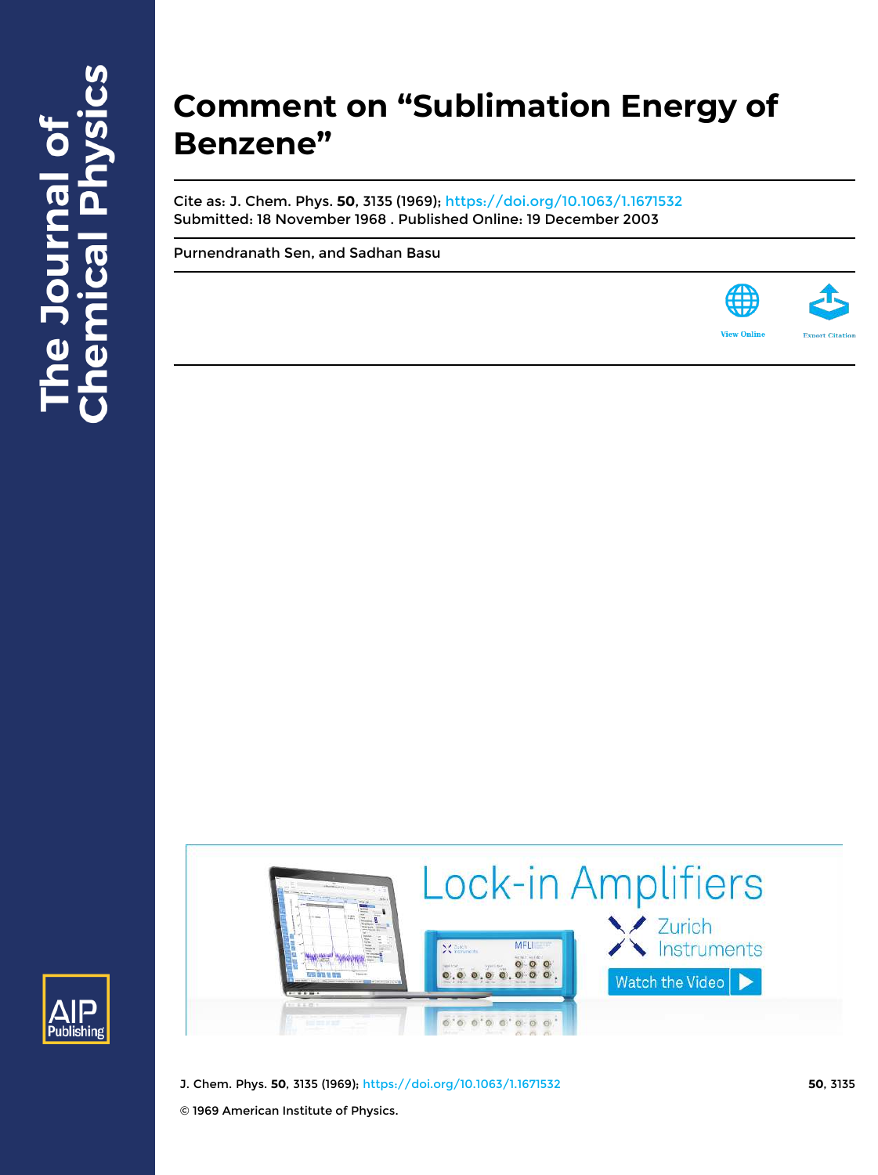## **Comment on "Sublimation Energy of Benzene"**

Cite as: J. Chem. Phys. **50**, 3135 (1969); https://doi.org/10.1063/1.1671532 Submitted: 18 November 1968 . Published Online: 19 December 2003

Purnendranath Sen, and Sadhan Basu







- J. Chem. Phys. **50**, 3135 (1969); https://doi.org/10.1063/1.1671532 **50**, 3135
- © 1969 American Institute of Physics.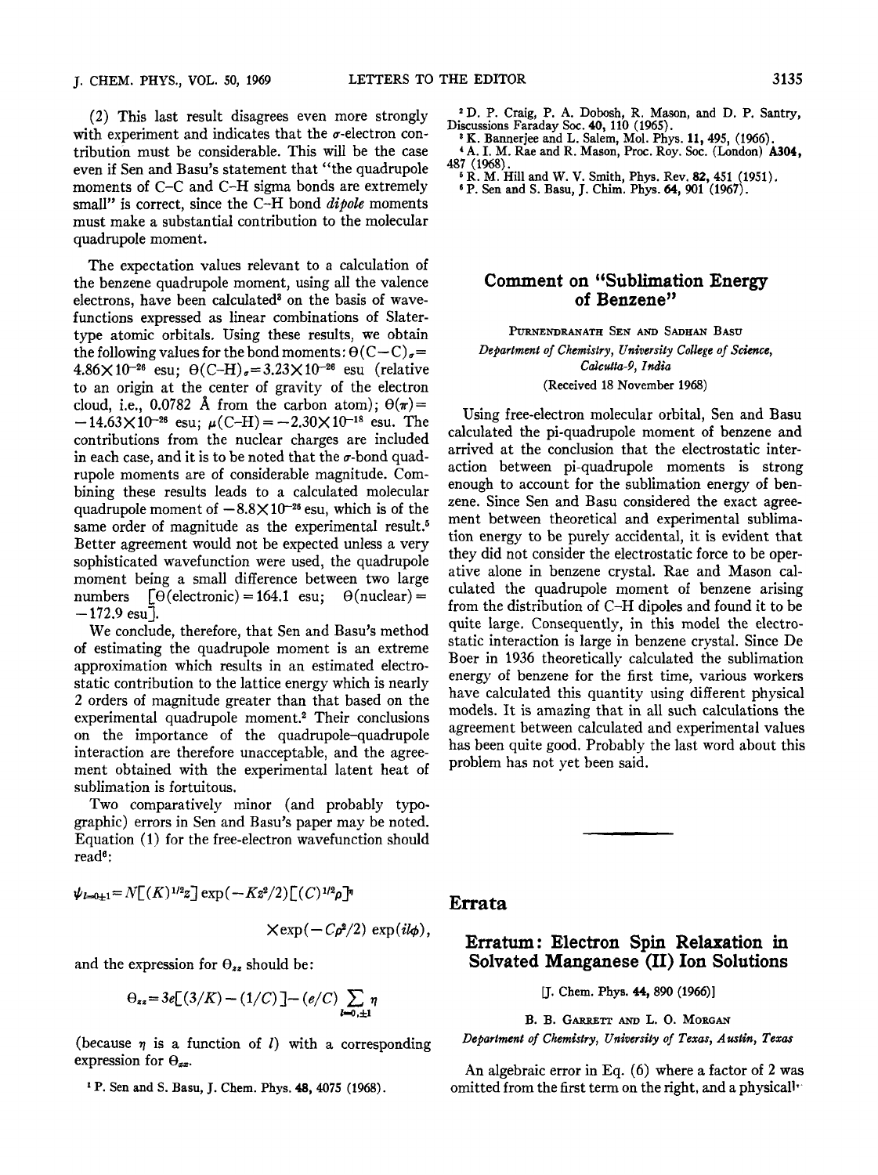(2) This last result disagrees even more strongly with experiment and indicates that the  $\sigma$ -electron contribution must be considerable. This will be the case even if Sen and Basu's statement that "the quadrupole moments of C-C and C-H sigma bonds are extremely small" is correct, since the C-H bond dipole moments must make a substantial contribution to the molecular quadrupole moment.

The expectation values relevant to a calculation of the benzene quadrupole moment, using all the valence electrons, have been calculated<sup>3</sup> on the basis of wavefunctions expressed as linear combinations of Slatertype atomic orbitals. Using these results, we obtain the following values for the bond moments:  $\Theta(C-C)_{\sigma} =$  $4.86 \times 10^{-26}$  esu;  $\theta$ (C-H)<sub>g</sub> = 3.23 $\times 10^{-26}$  esu (relative to an origin at the center of gravity of the electron cloud, i.e., 0.0782 Å from the carbon atom);  $\Theta(\pi)$  =  $-14.63\times10^{-26}$  esu;  $\mu$ (C-H) =  $-2.30\times10^{-18}$  esu. The contributions from the nuclear charges are included in each case, and it is to be noted that the  $\sigma$ -bond quadrupole moments are of considerable magnitude. Combining these results leads to a calculated molecular quadrupole moment of  $-8.8\times10^{-26}$  esu, which is of the same order of magnitude as the experimental result.<sup>5</sup> Better agreement would not be expected unless a very sophisticated wavefunction were used, the quadrupole moment being a small difference between two large numbers  $[\Theta$ (electronic) = 164.1 esu;  $\Theta$ (nuclear) =  $-172.9$  esu $\bar{1}$ .

We conclude, therefore, that Sen and Basu's method of estimating the quadrupole moment is an extreme approximation which results in an estimated electrostatic contribution to the lattice energy which is nearly 2 orders of magnitude greater than that based on the experimental quadrupole moment.2 Their conclusions on the importance of the quadrupole-quadrupole interaction are therefore unacceptable, and the agreement obtained with the experimental latent heat of sublimation is fortuitous.

Two comparatively minor (and probably typographic) errors in Sen and Basu's paper mav be noted. Equation (1) for the free-electron wavefunction should read<sup>6</sup> :

$$
\psi_{l=0\pm 1} = N[(K)^{1/2}\bar{z}] \exp(-K\bar{z}^2/2) [C)^{1/2} \rho]^{n}
$$
  
 
$$
\times \exp(-C\rho^2/2) \exp(i l\phi),
$$

and the expression for  $\Theta_{zz}$  should be:

$$
\Theta_{zz} = 3e[(3/K) - (1/C)] - (e/C)\sum_{k=0,\pm 1} \eta
$$

(because  $\eta$  is a function of *I*) with a corresponding expression for  $\Theta_{xx}$ .

<sup>1</sup>P. Sen and S. Basu, J. Chem. Phys. 48,4075 (1968).

- .2 D. Craig, P. A. Dobosh, R. Mason, and D. P. Santry, Discussions Faraday Soc. 40, 110 (1965).
	- <sup>3</sup>K. Bannerjee and L. Salem, Mol. Phys. 11,495, (1966).
- A. I. M. Rae and R. Mason, Proc. Roy. Soc. (London) A304 487 (1968). '
- <sup>5</sup> R. M. Hill and W. V. Smith, Phys. Rev. **82,** 451 (1951)*.* 6 P. Sen and S. Basu, J. Chim. Phys. 64, 901 (1967).

## Comment on "Sublimation Energy of Benzene"

PuRNENDRANATH SEN AND SADHAN BASU *Department of Chemistry, University College of Science, Calcutta-9, India*  (Received 18 November 1968)

Using free-electron molecular orbital, Sen and Basu calculated the pi-quadrupole moment of benzene and arrived at the conclusion that the electrostatic interaction between pi-quadrupole moments is strong enough to account for the sublimation energy of benzene. Since Sen and Basu considered the exact agreement between theoretical and experimental sublimation energy to be purely accidental, it is evident that they did not consider the electrostatic force to be operative alone in benzene crystal. Rae and Mason calculated the quadrupole moment of benzene arising from the distribution of C-H dipoles and found it to be quite large. Consequently, in this model the electrostatic interaction is large in benzene crystal. Since De Boer in 1936 theoretically calculated the sublimation energy of benzene for the first time, various workers have calculated this quantity using different physical models. It is amazing that in all such calculations the agreement between calculated and experimental values has been quite good. Probably the last word about this problem has not yet been said.

Errata

## Erratum: Electron Spin Relaxation in Solvated Manganese (II) Ion Solutions

[J. Chem. Phys. 44, 890 (1966)]

B. B. GARRETT AND L. O. MORGAN

*Department of Chemistry, University of Texas, Austin, Texas* 

An algebraic error in Eq. (6) where a factor of 2 was omitted from the first term on the right, and a physicall